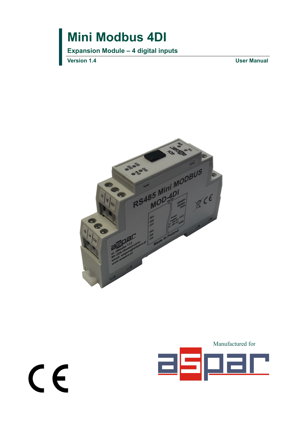**Expansion Module – 4 digital inputs**

**Version 1.4 User Manual**

 $C \in$ 



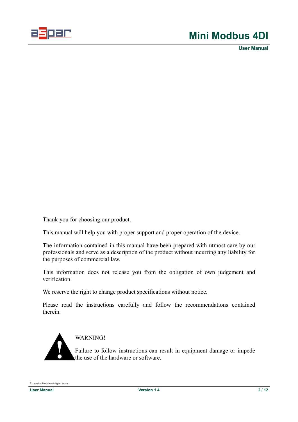

**User Manual**

Thank you for choosing our product.

This manual will help you with proper support and proper operation of the device.

The information contained in this manual have been prepared with utmost care by our professionals and serve as a description of the product without incurring any liability for the purposes of commercial law.

This information does not release you from the obligation of own judgement and verification.

We reserve the right to change product specifications without notice.

Please read the instructions carefully and follow the recommendations contained therein.



WARNING!

Failure to follow instructions can result in equipment damage or impede the use of the hardware or software.

Expansion Module– 4 digital inputs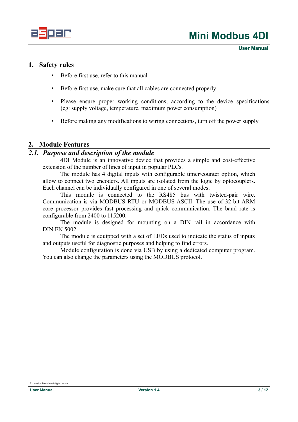

**User Manual**

### <span id="page-2-2"></span>**1. Safety rules**

- Before first use, refer to this manual
- Before first use, make sure that all cables are connected properly
- Please ensure proper working conditions, according to the device specifications (eg: supply voltage, temperature, maximum power consumption)
- Before making any modifications to wiring connections, turn off the power supply

#### <span id="page-2-1"></span>**2. Module Features**

#### *2.1. Purpose and description of the module*

<span id="page-2-0"></span>4DI Module is an innovative device that provides a simple and cost-effective extension of the number of lines of input in popular PLCs.

The module has 4 digital inputs with configurable timer/counter option, which allow to connect two encoders. All inputs are isolated from the logic by optocouplers. Each channel can be individually configured in one of several modes.

This module is connected to the RS485 bus with twisted-pair wire. Communication is via MODBUS RTU or MODBUS ASCII. The use of 32-bit ARM core processor provides fast processing and quick communication. The baud rate is configurable from 2400 to 115200.

The module is designed for mounting on a DIN rail in accordance with DIN EN 5002.

The module is equipped with a set of LEDs used to indicate the status of inputs and outputs useful for diagnostic purposes and helping to find errors.

Module configuration is done via USB by using a dedicated computer program. You can also change the parameters using the MODBUS protocol.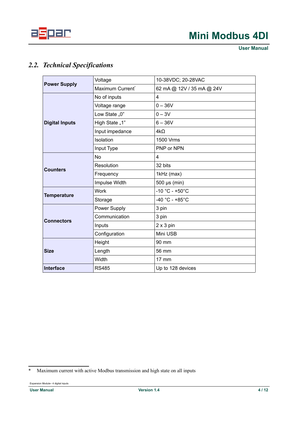

**User Manual**

## <span id="page-3-1"></span>*2.2. Technical Specifications*

|                       | Voltage                      | 10-38VDC; 20-28VAC        |
|-----------------------|------------------------------|---------------------------|
| <b>Power Supply</b>   | Maximum Current <sup>®</sup> | 62 mA @ 12V / 35 mA @ 24V |
|                       | No of inputs                 | 4                         |
|                       | Voltage range                | $0 - 36V$                 |
|                       | Low State "0"                | $0 - 3V$                  |
| <b>Digital Inputs</b> | High State "1"               | $6 - 36V$                 |
|                       | Input impedance              | $4k\Omega$                |
|                       | Isolation                    | 1500 Vrms                 |
|                       | Input Type                   | PNP or NPN                |
|                       | <b>No</b>                    | 4                         |
| <b>Counters</b>       | Resolution                   | 32 bits                   |
|                       | Frequency                    | 1kHz (max)                |
|                       | Impulse Width                | 500 µs (min)              |
| <b>Temperature</b>    | <b>Work</b>                  | $-10 °C - +50 °C$         |
|                       | Storage                      | $-40 °C - +85 °C$         |
|                       | Power Supply                 | 3 pin                     |
| <b>Connectors</b>     | Communication                | 3 pin                     |
|                       | Inputs                       | $2 \times 3$ pin          |
|                       | Configuration                | Mini USB                  |
|                       | Height                       | 90 mm                     |
| <b>Size</b>           | Length                       | 56 mm                     |
|                       | Width                        | $17 \text{ mm}$           |
| <b>Interface</b>      | <b>RS485</b>                 | Up to 128 devices         |

<span id="page-3-0"></span><sup>\*</sup> Maximum current with active Modbus transmission and high state on all inputs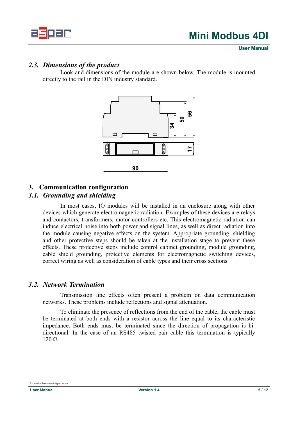

#### *2.3. Dimensions of the product*

<span id="page-4-3"></span>Look and dimensions of the module are shown below. The module is mounted directly to the rail in the DIN industry standard.



#### <span id="page-4-2"></span>**3. Communication configuration**

### *3.1. Grounding and shielding*

<span id="page-4-1"></span>In most cases, IO modules will be installed in an enclosure along with other devices which generate electromagnetic radiation. Examples of these devices are relays and contactors, transformers, motor controllers etc. This electromagnetic radiation can induce electrical noise into both power and signal lines, as well as direct radiation into the module causing negative effects on the system. Appropriate grounding, shielding and other protective steps should be taken at the installation stage to prevent these effects. These protective steps include control cabinet grounding, module grounding, cable shield grounding, protective elements for electromagnetic switching devices, correct wiring as well as consideration of cable types and their cross sections.

#### *3.2. Network Termination*

<span id="page-4-0"></span>Transmission line effects often present a problem on data communication networks. These problems include reflections and signal attenuation.

To eliminate the presence of reflections from the end of the cable, the cable must be terminated at both ends with a resistor across the line equal to its characteristic impedance. Both ends must be terminated since the direction of propagation is bidirectional. In the case of an RS485 twisted pair cable this termination is typically 120 Ω.

Expansion Module– 4 digital inputs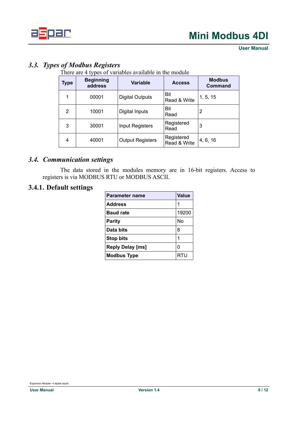

**User Manual**

## <span id="page-5-2"></span>*3.3. Types of Modbus Registers*

There are 4 types of variables available in the module

| Type | <b>Beginning</b><br>address | <b>Variable</b>         | <b>Access</b>              | <b>Modbus</b><br><b>Command</b> |
|------|-----------------------------|-------------------------|----------------------------|---------------------------------|
| 1    | 00001                       | <b>Digital Outputs</b>  | <b>Bit</b><br>Read & Write | 1, 5, 15                        |
| 2    | 10001                       | Digital Inputs          | Bit<br>Read                | 2                               |
| 3    | 30001                       | <b>Input Registers</b>  | Registered<br>Read         | 3                               |
| 4    | 40001                       | <b>Output Registers</b> | Registered<br>Read & Write | 4, 6, 16                        |

### *3.4. Communication settings*

<span id="page-5-1"></span><span id="page-5-0"></span>The data stored in the modules memory are in 16-bit registers. Access to registers is via MODBUS RTU or MODBUS ASCII.

### **3.4.1. Default settings**

| <b>Parameter name</b>   | <b>Value</b> |
|-------------------------|--------------|
| <b>Address</b>          | 1            |
| <b>Baud rate</b>        | 19200        |
| Parity                  | No           |
| Data bits               | 8            |
| <b>Stop bits</b>        | 1            |
| <b>Reply Delay [ms]</b> | 0            |
| <b>Modbus Type</b>      | RTU          |

Expansion Module– 4 digital inputs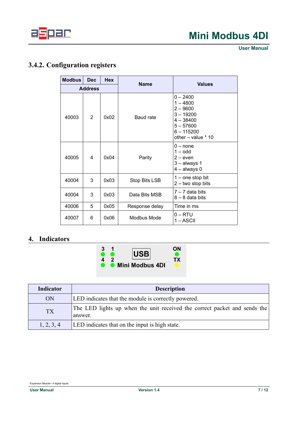

**User Manual**

## <span id="page-6-0"></span>**3.4.2. Configuration registers**

| <b>Modbus</b>  | <b>Dec</b>     | <b>Hex</b> | <b>Name</b>      | <b>Values</b>                                                                                                                 |  |  |
|----------------|----------------|------------|------------------|-------------------------------------------------------------------------------------------------------------------------------|--|--|
| <b>Address</b> |                |            |                  |                                                                                                                               |  |  |
| 40003          | $\overline{2}$ | 0x02       | <b>Baud rate</b> | $0 - 2400$<br>$1 - 4800$<br>$2 - 9600$<br>$3 - 19200$<br>$4 - 38400$<br>$5 - 57600$<br>$6 - 115200$<br>other $-$ value $*$ 10 |  |  |
| 40005          | 4              | 0x04       | Parity           | $0 - none$<br>$1 -$ odd<br>$2$ – even<br>$3 -$ always 1<br>$4 -$ always 0                                                     |  |  |
| 40004          | 3              | 0x03       | Stop Bits LSB    | $1 -$ one stop bit<br>$2 -$ two stop bits                                                                                     |  |  |
| 40004          | 3              | 0x03       | Data Bits MSB    | $7 - 7$ data bits<br>$8 - 8$ data bits                                                                                        |  |  |
| 40006          | 5              | 0x05       | Response delay   | Time in ms                                                                                                                    |  |  |
| 40007          | 6              | 0x06       | Modbus Mode      | 0 – RTU<br>1 – ASCII                                                                                                          |  |  |

### <span id="page-6-1"></span>**4. Indicators**



| Indicator  | <b>Description</b>                                                                   |
|------------|--------------------------------------------------------------------------------------|
| ON         | LED indicates that the module is correctly powered.                                  |
| <b>TX</b>  | The LED lights up when the unit received the correct packet and sends the<br>answer. |
| 1, 2, 3, 4 | LED indicates that on the input is high state.                                       |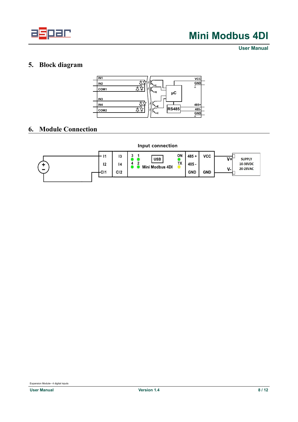

**User Manual**

## <span id="page-7-1"></span>**5. Block diagram**



### <span id="page-7-0"></span>**6. Module Connection**



**Input connection**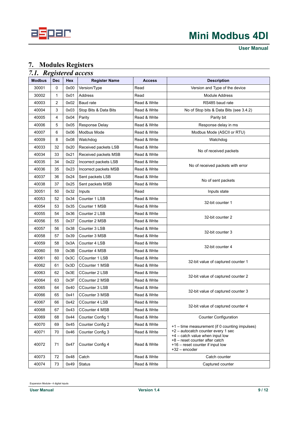

**User Manual**

### <span id="page-8-1"></span>**7. Modules Registers**

<span id="page-8-0"></span>

| 7.1. Registered access |                |      |                       |               |                                                                                                                          |
|------------------------|----------------|------|-----------------------|---------------|--------------------------------------------------------------------------------------------------------------------------|
| <b>Modbus</b>          | <b>Dec</b>     | Hex  | <b>Register Name</b>  | <b>Access</b> | <b>Description</b>                                                                                                       |
| 30001                  | 0              | 0x00 | Version/Type          | Read          | Version and Type of the device                                                                                           |
| 30002                  | 1              | 0x01 | Address               | Read          | <b>Module Address</b>                                                                                                    |
| 40003                  | $\overline{2}$ | 0x02 | Baud rate             | Read & Write  | RS485 baud rate                                                                                                          |
| 40004                  | 3              | 0x03 | Stop Bits & Data Bits | Read & Write  | No of Stop bits & Data Bits (see 3.4.2)                                                                                  |
| 40005                  | 4              | 0x04 | Parity                | Read & Write  | Parity bit                                                                                                               |
| 40006                  | 5              | 0x05 | <b>Response Delay</b> | Read & Write  | Response delay in ms                                                                                                     |
| 40007                  | 6              | 0x06 | Modbus Mode           | Read & Write  | Modbus Mode (ASCII or RTU)                                                                                               |
| 40009                  | 8              | 0x08 | Watchdog              | Read & Write  | Watchdog                                                                                                                 |
| 40033                  | 32             | 0x20 | Received packets LSB  | Read & Write  | No of received packets                                                                                                   |
| 40034                  | 33             | 0x21 | Received packets MSB  | Read & Write  |                                                                                                                          |
| 40035                  | 34             | 0x22 | Incorrect packets LSB | Read & Write  |                                                                                                                          |
| 40036                  | 35             | 0x23 | Incorrect packets MSB | Read & Write  | No of received packets with error                                                                                        |
| 40037                  | 36             | 0x24 | Sent packets LSB      | Read & Write  |                                                                                                                          |
| 40038                  | 37             | 0x25 | Sent packets MSB      | Read & Write  | No of sent packets                                                                                                       |
| 30051                  | 50             | 0x32 | Inputs                | Read          | Inputs state                                                                                                             |
| 40053                  | 52             | 0x34 | Counter 1 LSB         | Read & Write  |                                                                                                                          |
| 40054                  | 53             | 0x35 | Counter 1 MSB         | Read & Write  | 32-bit counter 1                                                                                                         |
| 40055                  | 54             | 0x36 | Counter 2 LSB         | Read & Write  |                                                                                                                          |
| 40056                  | 55             | 0x37 | Counter 2 MSB         | Read & Write  | 32-bit counter 2                                                                                                         |
| 40057                  | 56             | 0x38 | Counter 3 LSB         | Read & Write  |                                                                                                                          |
| 40058                  | 57             | 0x39 | Counter 3 MSB         | Read & Write  | 32-bit counter 3                                                                                                         |
| 40059                  | 58             | 0x3A | Counter 4 LSB         | Read & Write  |                                                                                                                          |
| 40060                  | 59             | 0x3B | Counter 4 MSB         | Read & Write  | 32-bit counter 4                                                                                                         |
| 40061                  | 60             | 0x3C | <b>CCounter 1 LSB</b> | Read & Write  |                                                                                                                          |
| 40062                  | 61             | 0x3D | CCounter 1 MSB        | Read & Write  | 32-bit value of captured counter 1                                                                                       |
| 40063                  | 62             | 0x3E | CCounter 2 LSB        | Read & Write  |                                                                                                                          |
| 40064                  | 63             | 0x3F | CCounter 2 MSB        | Read & Write  | 32-bit value of captured counter 2                                                                                       |
| 40065                  | 64             | 0x40 | <b>CCounter 3 LSB</b> | Read & Write  |                                                                                                                          |
| 40066                  | 65             | 0x41 | CCounter 3 MSB        | Read & Write  | 32-bit value of captured counter 3                                                                                       |
| 40067                  | 66             | 0x42 | CCounter 4 LSB        | Read & Write  |                                                                                                                          |
| 40068                  | 67             | 0x43 | <b>CCounter 4 MSB</b> | Read & Write  | 32-bit value of captured counter 4                                                                                       |
| 40069                  | 68             | 0x44 | Counter Config 1      | Read & Write  | <b>Counter Configuration</b>                                                                                             |
| 40070                  | 69             | 0x45 | Counter Config 2      | Read & Write  | +1 – time measurement (if 0 counting impulses)                                                                           |
| 40071                  | 70             | 0x46 | Counter Config 3      | Read & Write  | +2 - autocatch counter every 1 sec                                                                                       |
| 40072                  | 71             | 0x47 | Counter Config 4      | Read & Write  | +4 - catch value when input low<br>+8 - reset counter after catch<br>+16 – reset counter if input low<br>$+32$ – encoder |
| 40073                  | 72             | 0x48 | Catch                 | Read & Write  | Catch counter                                                                                                            |
| 40074                  | 73             | 0x49 | <b>Status</b>         | Read & Write  | Captured counter                                                                                                         |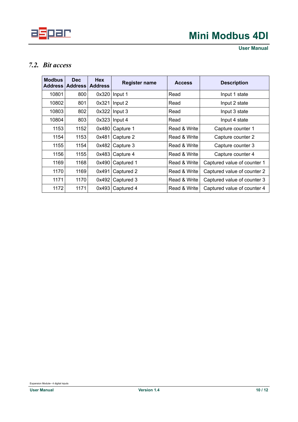

**User Manual**

### <span id="page-9-0"></span>*7.2. Bit access*

| <b>Modbus</b><br><b>Address</b> | Dec.<br><b>Address</b> | <b>Hex</b><br><b>Address</b> | <b>Register name</b> | <b>Access</b> | <b>Description</b>          |
|---------------------------------|------------------------|------------------------------|----------------------|---------------|-----------------------------|
| 10801                           | 800                    | 0x320                        | Input 1              | Read          | Input 1 state               |
| 10802                           | 801                    | 0x321                        | Input 2              | Read          | Input 2 state               |
| 10803                           | 802                    | 0x322                        | Input 3              | Read          | Input 3 state               |
| 10804                           | 803                    | 0x323                        | Input 4              | Read          | Input 4 state               |
| 1153                            | 1152                   | 0x480                        | Capture 1            | Read & Write  | Capture counter 1           |
| 1154                            | 1153                   | 0x481                        | Capture 2            | Read & Write  | Capture counter 2           |
| 1155                            | 1154                   | 0x482                        | Capture 3            | Read & Write  | Capture counter 3           |
| 1156                            | 1155                   | 0x483                        | Capture 4            | Read & Write  | Capture counter 4           |
| 1169                            | 1168                   | 0x490                        | Captured 1           | Read & Write  | Captured value of counter 1 |
| 1170                            | 1169                   | 0x491                        | Captured 2           | Read & Write  | Captured value of counter 2 |
| 1171                            | 1170                   | 0x492                        | Captured 3           | Read & Write  | Captured value of counter 3 |
| 1172                            | 1171                   | 0x493                        | Captured 4           | Read & Write  | Captured value of counter 4 |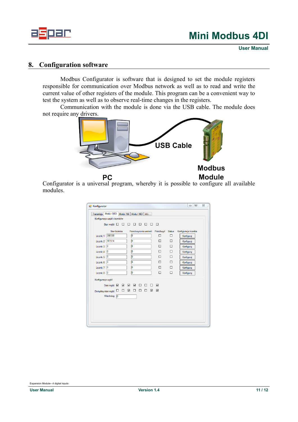

**User Manual**

### <span id="page-10-0"></span>**8. Configuration software**

Modbus Configurator is software that is designed to set the module registers responsible for communication over Modbus network as well as to read and write the current value of other registers of the module. This program can be a convenient way to test the system as well as to observe real-time changes in the registers.

Communication with the module is done via the USB cable. The module does not require any drivers.



Configurator is a universal program, whereby it is possible to configure all available modules.

| Konfiguracja wejść i liczników<br>□<br>Stan wejść □ □<br>$\Box$<br>□<br>□<br>□<br>□<br>Stan licznika<br>Przechwycona wartość Przechwyć Status<br>Konfiguracja licznika<br>O<br>290330<br>□<br>□<br>Licznik 1<br>Konfiguruj<br>o<br>101614<br>$\Box$<br>$\Box$<br>Licznik <sub>2</sub><br>Konfiguruj<br>o<br>10<br>$\Box$<br>$\Box$<br>Licznik <sub>3</sub><br>Konfiguruj<br>o<br>10<br>Π<br>П<br>Licznik 4<br>Konfiguruj<br>o<br>П<br>п<br>10<br>Licznik 5<br>Konfiguruj<br>o<br>П<br>$\Box$<br>0<br>Licznik 6<br>Konfiguruj<br>o<br>П<br>10<br>п<br>Lieznik <sub>7</sub><br>Konfiguruj<br>o<br>$\Box$<br>$\Box$<br>$\overline{0}$<br>Konfiguruj<br>Licznik 8<br>Konfiguracja wyjść<br>$\blacksquare$<br>☑<br>☑<br>$\Box$<br>$\Box$<br>$\Box$<br>☑<br>Stan wyjść <b>W</b><br>$\Box$<br>$\Box$<br>$\overline{\mathbf{v}}$<br>☑<br>$\Box$<br>N<br>$\Box$<br>⊔<br>Domyślny stan wyjść<br>Watchdog 0 | Moduł 8180<br>Moduł 161<br>Transmisja | Moduł 160<br>Info |  |  |
|--------------------------------------------------------------------------------------------------------------------------------------------------------------------------------------------------------------------------------------------------------------------------------------------------------------------------------------------------------------------------------------------------------------------------------------------------------------------------------------------------------------------------------------------------------------------------------------------------------------------------------------------------------------------------------------------------------------------------------------------------------------------------------------------------------------------------------------------------------------------------------------------------|---------------------------------------|-------------------|--|--|
|                                                                                                                                                                                                                                                                                                                                                                                                                                                                                                                                                                                                                                                                                                                                                                                                                                                                                                  |                                       |                   |  |  |
|                                                                                                                                                                                                                                                                                                                                                                                                                                                                                                                                                                                                                                                                                                                                                                                                                                                                                                  |                                       |                   |  |  |
|                                                                                                                                                                                                                                                                                                                                                                                                                                                                                                                                                                                                                                                                                                                                                                                                                                                                                                  |                                       |                   |  |  |
|                                                                                                                                                                                                                                                                                                                                                                                                                                                                                                                                                                                                                                                                                                                                                                                                                                                                                                  |                                       |                   |  |  |
|                                                                                                                                                                                                                                                                                                                                                                                                                                                                                                                                                                                                                                                                                                                                                                                                                                                                                                  |                                       |                   |  |  |
|                                                                                                                                                                                                                                                                                                                                                                                                                                                                                                                                                                                                                                                                                                                                                                                                                                                                                                  |                                       |                   |  |  |
|                                                                                                                                                                                                                                                                                                                                                                                                                                                                                                                                                                                                                                                                                                                                                                                                                                                                                                  |                                       |                   |  |  |
|                                                                                                                                                                                                                                                                                                                                                                                                                                                                                                                                                                                                                                                                                                                                                                                                                                                                                                  |                                       |                   |  |  |
|                                                                                                                                                                                                                                                                                                                                                                                                                                                                                                                                                                                                                                                                                                                                                                                                                                                                                                  |                                       |                   |  |  |
|                                                                                                                                                                                                                                                                                                                                                                                                                                                                                                                                                                                                                                                                                                                                                                                                                                                                                                  |                                       |                   |  |  |
|                                                                                                                                                                                                                                                                                                                                                                                                                                                                                                                                                                                                                                                                                                                                                                                                                                                                                                  |                                       |                   |  |  |
|                                                                                                                                                                                                                                                                                                                                                                                                                                                                                                                                                                                                                                                                                                                                                                                                                                                                                                  |                                       |                   |  |  |
|                                                                                                                                                                                                                                                                                                                                                                                                                                                                                                                                                                                                                                                                                                                                                                                                                                                                                                  |                                       |                   |  |  |
|                                                                                                                                                                                                                                                                                                                                                                                                                                                                                                                                                                                                                                                                                                                                                                                                                                                                                                  |                                       |                   |  |  |
|                                                                                                                                                                                                                                                                                                                                                                                                                                                                                                                                                                                                                                                                                                                                                                                                                                                                                                  |                                       |                   |  |  |
|                                                                                                                                                                                                                                                                                                                                                                                                                                                                                                                                                                                                                                                                                                                                                                                                                                                                                                  |                                       |                   |  |  |
|                                                                                                                                                                                                                                                                                                                                                                                                                                                                                                                                                                                                                                                                                                                                                                                                                                                                                                  |                                       |                   |  |  |
|                                                                                                                                                                                                                                                                                                                                                                                                                                                                                                                                                                                                                                                                                                                                                                                                                                                                                                  |                                       |                   |  |  |